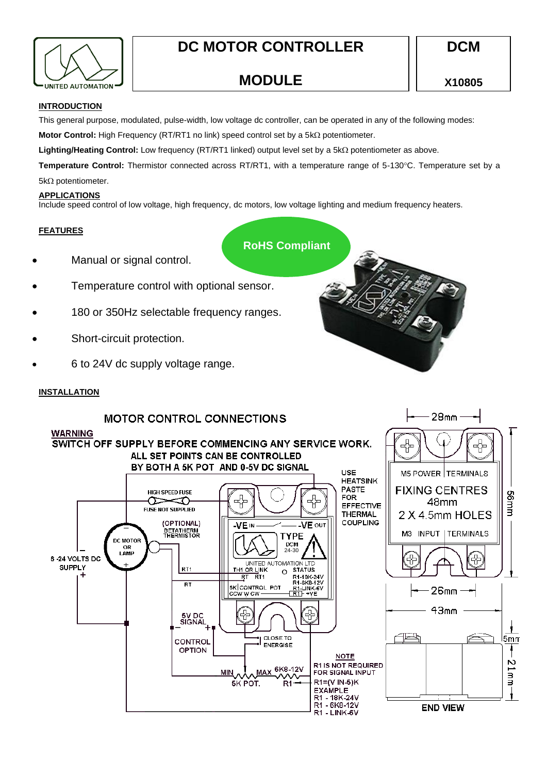

**MODULE**

 $28<sub>mm</sub>$ 

# **INTRODUCTION**

This general purpose, modulated, pulse-width, low voltage dc controller, can be operated in any of the following modes:

**Motor Control:** High Frequency (RT/RT1 no link) speed control set by a 5kΩ potentiometer.

**Lighting/Heating Control:** Low frequency (RT/RT1 linked) output level set by a 5kΩ potentiometer as above.

Temperature Control: Thermistor connected across RT/RT1, with a temperature range of 5-130°C. Temperature set by a  $5k\Omega$  potentiometer.

# **APPLICATIONS**

Include speed control of low voltage, high frequency, dc motors, low voltage lighting and medium frequency heaters.

# **FEATURES**

**RoHS Compliant**

- Manual or signal control.
- Temperature control with optional sensor.
- 180 or 350Hz selectable frequency ranges.
- Short-circuit protection.
- 6 to 24V dc supply voltage range.

# **INSTALLATION**

# **MOTOR CONTROL CONNECTIONS**